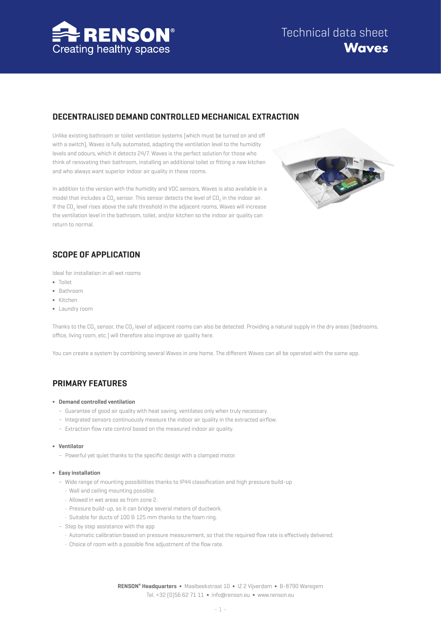

## **DECENTRALISED DEMAND CONTROLLED MECHANICAL EXTRACTION**

Unlike existing bathroom or toilet ventilation systems (which must be turned on and off with a switch), Waves is fully automated, adapting the ventilation level to the humidity levels and odours, which it detects 24/7. Waves is the perfect solution for those who think of renovating their bathroom, installing an additional toilet or fitting a new kitchen and who always want superior indoor air quality in these rooms.



In addition to the version with the humidity and VOC sensors, Waves is also available in a model that includes a CO<sub>2</sub> sensor. This sensor detects the level of CO<sub>2</sub> in the indoor air. If the CO<sub>2</sub> level rises above the safe threshold in the adjacent rooms, Waves will increase the ventilation level in the bathroom, toilet, and/or kitchen so the indoor air quality can return to normal.

# **SCOPE OF APPLICATION**

Ideal for installation in all wet rooms

- ∫ Toilet
- ∫ Bathroom
- ∫ Kitchen
- ∫ Laundry room

Thanks to the CO<sub>2</sub> sensor, the CO<sub>2</sub> level of adjacent rooms can also be detected. Providing a natural supply in the dry areas (bedrooms, office, living room, etc.) will therefore also improve air quality here.

You can create a system by combining several Waves in one home. The different Waves can all be operated with the same app.

## **PRIMARY FEATURES**

#### ∫ **Demand controlled ventilation**

- Guarantee of good air quality with heat saving, ventilates only when truly necessary.
- Integrated sensors continuously measure the indoor air quality in the extracted airflow.
- Extraction flow rate control based on the measured indoor air quality.

#### ∫ **Ventilator**

– Powerful yet quiet thanks to the specific design with a clamped motor.

#### ∫ **Easy installation**

- Wide range of mounting possibilities thanks to IP44 classification and high pressure build-up
	- Wall and ceiling mounting possible.
	- Allowed in wet areas as from zone 2.
	- Pressure build-up, so it can bridge several meters of ductwork.
	- Suitable for ducts of 100 & 125 mm thanks to the foam ring.
- Step by step assistance with the app
	- Automatic calibration based on pressure measurement, so that the required flow rate is effectively delivered.
	- Choice of room with a possible fine adjustment of the flow rate.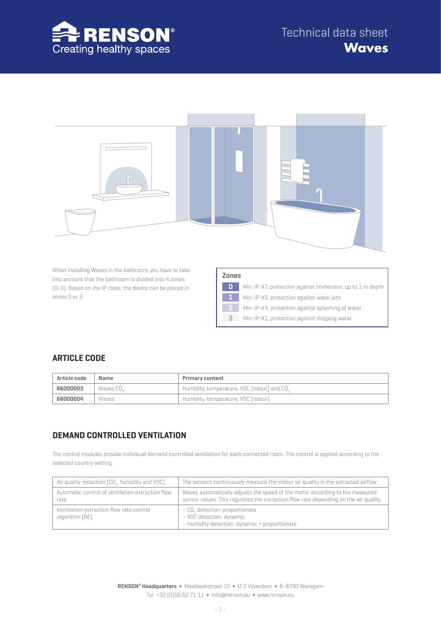



When installing Waves in the bathroom, you have to take into account that the bathroom is divided into 4 zones (0-3). Based on the IP class, the device can be placed in zones 2 or 3.

| Zones |                                                           |
|-------|-----------------------------------------------------------|
| 0     | Min. IP-X7, protection against immersion, up to 1 m depth |
| 1     | Min. IP-X5, protection against water jets                 |
| 2     | Min. IP-X4, protection against splashing of water         |
| 3     | Min. IP-X1, protection against dripping water             |

## **ARTICLE CODE**

| Article code | Name                  | <b>Primary content</b>                                 |
|--------------|-----------------------|--------------------------------------------------------|
| 66000003     | Waves CO <sub>c</sub> | Humidity, temperature, VOC (odour) and CO <sub>2</sub> |
| 66000004     | Waves                 | Humidity, temperature, VOC (odour)                     |

## **DEMAND CONTROLLED VENTILATION**

The control modules provide individual demand controlled ventilation for each connected room. The control is applied according to the selected country setting.

| Air quality detection (CO <sub>2</sub> , humidity and VOC) | The sensors continuously measure the indoor air quality in the extracted airflow.                                                                                    |
|------------------------------------------------------------|----------------------------------------------------------------------------------------------------------------------------------------------------------------------|
| Automatic control of ventilation extraction flow<br>rate   | Waves automatically adjusts the speed of the motor according to the measured<br>sensor values. This regulates the extraction flow rate depending on the air quality. |
| Ventilation extraction flow rate control<br>algorithm (BE) | - CO, detection: proportionate<br>- VOC detection: dynamic<br>- Humidity detection: dynamic + proportionate                                                          |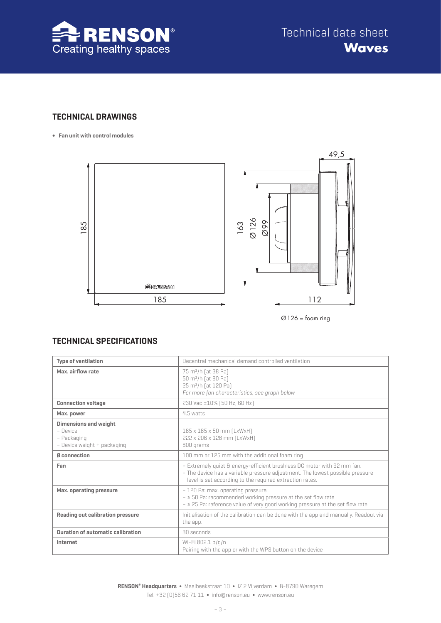

## **TECHNICAL DRAWINGS**

**∫ Fan unit with control modules**



 $\varnothing$ 126 = foam ring

## **TECHNICAL SPECIFICATIONS**

| <b>Type of ventilation</b>                                                             | Decentral mechanical demand controlled ventilation                                                                                                                                                                   |
|----------------------------------------------------------------------------------------|----------------------------------------------------------------------------------------------------------------------------------------------------------------------------------------------------------------------|
| Max. airflow rate                                                                      | 75 m <sup>3</sup> /h [at 38 Pa]<br>50 m <sup>3</sup> /h [at 80 Pa]<br>25 m <sup>3</sup> /h [at 120 Pa]<br>For more fan characteristics, see graph below                                                              |
| <b>Connection voltage</b>                                                              | 230 Vac ±10% [50 Hz, 60 Hz]                                                                                                                                                                                          |
| Max. power                                                                             | 4.5 watts                                                                                                                                                                                                            |
| <b>Dimensions and weight</b><br>- Device<br>- Packaging<br>- Device weight + packaging | 185 x 185 x 50 mm [LxWxH]<br>222 x 206 x 128 mm [LxWxH]<br>800 grams                                                                                                                                                 |
| Ø connection                                                                           | 100 mm or 125 mm with the additional foam ring                                                                                                                                                                       |
| Fan                                                                                    | - Extremely quiet & energy-efficient brushless DC motor with 92 mm fan.<br>- The device has a variable pressure adjustment. The lowest possible pressure<br>level is set according to the required extraction rates. |
| Max. operating pressure                                                                | - 120 Pa: max. operating pressure<br>$-$ < 50 Pa: recommended working pressure at the set flow rate<br>$ \leq$ 25 Pa: reference value of very good working pressure at the set flow rate                             |
| Reading out calibration pressure                                                       | Initialisation of the calibration can be done with the app and manually. Readout via<br>the app.                                                                                                                     |
| <b>Duration of automatic calibration</b>                                               | 30 seconds                                                                                                                                                                                                           |
| Internet                                                                               | Wi-Fi 802.1 b/q/n<br>Pairing with the app or with the WPS button on the device                                                                                                                                       |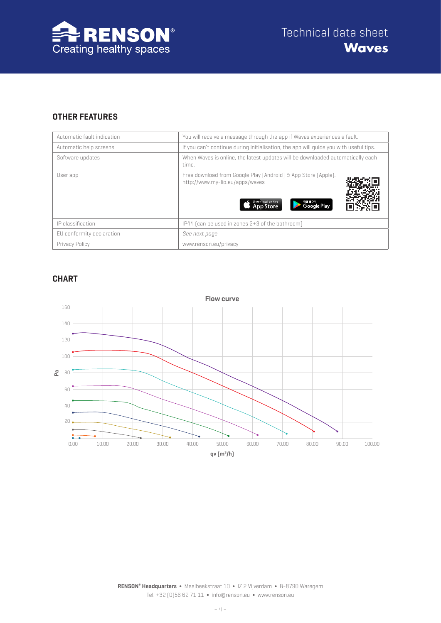

## **OTHER FEATURES**

| Automatic fault indication | You will receive a message through the app if Waves experiences a fault.                                                                                  |
|----------------------------|-----------------------------------------------------------------------------------------------------------------------------------------------------------|
| Automatic help screens     | If you can't continue during initialisation, the app will quide you with useful tips.                                                                     |
| Software updates           | When Waves is online, the latest updates will be downloaded automatically each<br>time.                                                                   |
| User app                   | Free download from Google Play (Android) & App Store (Apple).<br>http://www.my-lio.eu/apps/waves<br>Download on the<br>сеттом<br>Google Play<br>App Store |
| IP classification          | IP44 (can be used in zones 2+3 of the bathroom)                                                                                                           |
| EU conformity declaration  | See next page                                                                                                                                             |
| Privacy Policy             | www.renson.eu/privacy                                                                                                                                     |

### **CHART**